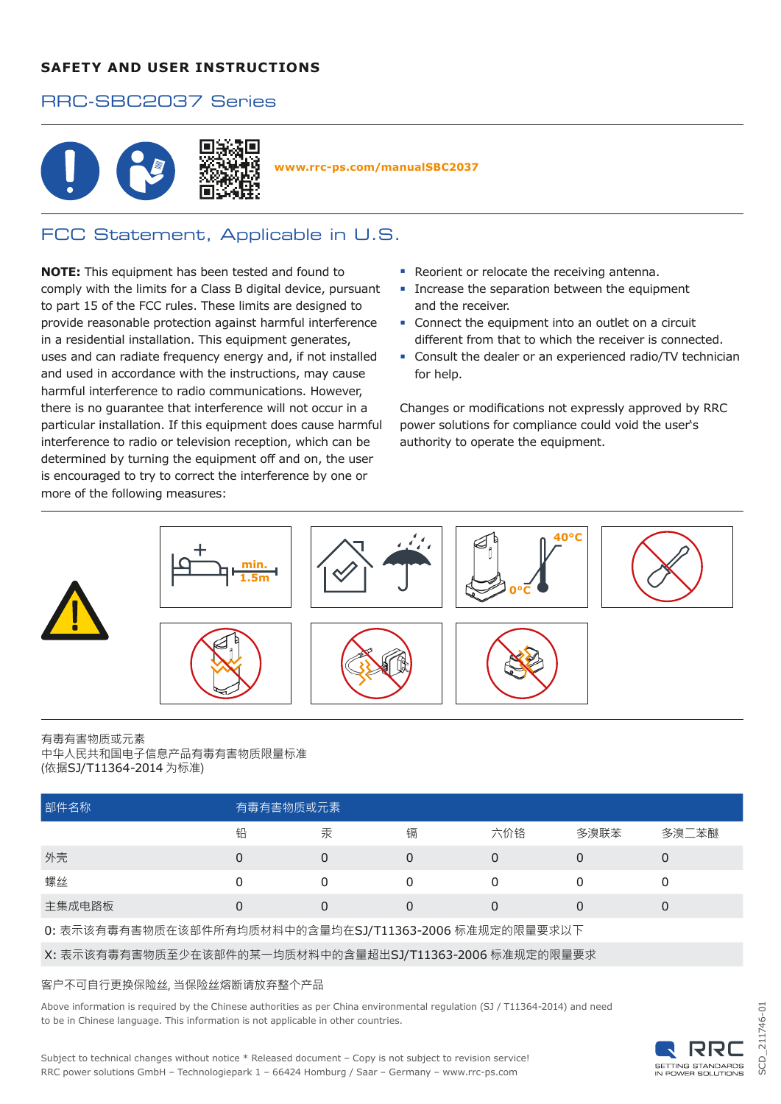### **SAFETY AND USER INSTRUCTIONS**

### RRC-SBC2037 Series



**www.rrc-ps.com/manualSBC2037**

# FCC Statement, Applicable in U.S.

**NOTE:** This equipment has been tested and found to comply with the limits for a Class B digital device, pursuant to part 15 of the FCC rules. These limits are designed to provide reasonable protection against harmful interference in a residential installation. This equipment generates, uses and can radiate frequency energy and, if not installed and used in accordance with the instructions, may cause harmful interference to radio communications. However, there is no guarantee that interference will not occur in a particular installation. If this equipment does cause harmful interference to radio or television reception, which can be determined by turning the equipment off and on, the user is encouraged to try to correct the interference by one or more of the following measures:

- Reorient or relocate the receiving antenna.
- **•** Increase the separation between the equipment and the receiver.
- Connect the equipment into an outlet on a circuit different from that to which the receiver is connected.
- Consult the dealer or an experienced radio/TV technician for help.

Changes or modifications not expressly approved by RRC power solutions for compliance could void the user's authority to operate the equipment.



#### 有毒有害物质或元素 中华人民共和国电子信息产品有毒有害物质限量标准 (依据SJ/T11364-2014 为标准)

| 部件名称   | 有毒有害物质或元素 |   |   |     |      |       |
|--------|-----------|---|---|-----|------|-------|
|        | 铅         | 汞 | 镉 | 六价铬 | 多溴联苯 | 多溴二苯醚 |
| 外壳     |           | 0 |   | 0   |      |       |
| 螺丝     |           |   |   |     |      | υ     |
| 主集成电路板 |           |   |   | 0   |      | U     |
|        |           |   |   |     |      |       |

0: 表示该有毒有害物质在该部件所有均质材料中的含量均在SJ/T11363-2006 标准规定的限量要求以下

X: 表示该有毒有害物质至少在该部件的某一均质材料中的含量超出SJ/T11363-2006 标准规定的限量要求

#### 客户不可自行更换保险丝, 当保险丝熔断请放弃整个产品

Above information is required by the Chinese authorities as per China environmental regulation (SJ / T11364-2014) and need to be in Chinese language. This information is not applicable in other countries.